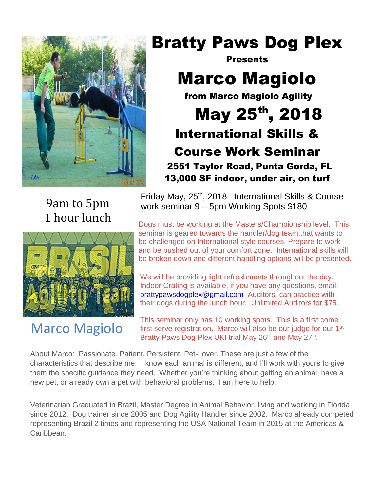

## Bratty Paws Dog Plex

**Presents** 

# Marco Magiolo

from Marco Magiolo Agility

May 25<sup>th</sup>, 2018 International Skills & Course Work Seminar 2551 Taylor Road, Punta Gorda, FL 13,000 SF indoor, under air, on turf

9am to 5pm 1 hour lunch



### Marco Magiolo

 $b^2$  of  $b^2$  0040, international Olille 8.0 Friday May, 25<sup>th</sup>, 2018 International Skills & Course work seminar 9 – 5pm Working Spots \$180

Dogs must be working at the Masters/Championship level. This seminar is geared towards the handler/dog team that wants to be challenged on International style courses. Prepare to work and be pushed out of your comfort zone. International skills will be broken down and different handling options will be presented.

**Example Woodby Process of Auditors** contribution their dogs during the lunch hour. Unlimited Auditors for \$75. We will be providing light refreshments throughout the day. Indoor Crating is available, if you have any questions, email: [brattypawsdogplex@gmail.com](mailto:brattypawsdogplex@gmail.com) Auditors, can practice with

This seminar only has 10 working spots. This is a first come first serve registration. Marco will also be our judge for our 1<sup>st</sup> Bratty Paws Dog Plex UKI trial May 26<sup>th</sup> and May 27<sup>th</sup>.

About Marco: Passionate. Patient. Persistent. Pet-Lover. These are just a few of the characteristics that describe me. I know each animal is different, and I'll work with yours to give them the specific guidance they need. Whether you're thinking about getting an animal, have a new pet, or already own a pet with behavioral problems. I am here to help.

Veterinarian Graduated in Brazil, Master Degree in Animal Behavior, living and working in Florida since 2012. Dog trainer since 2005 and Dog Agility Handler since 2002. Marco already competed representing Brazil 2 times and representing the USA National Team in 2015 at the Americas & Caribbean.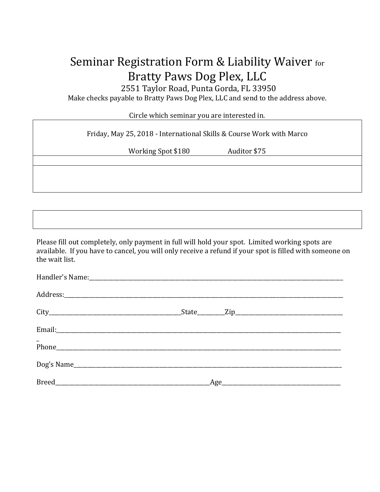### Seminar Registration Form & Liability Waiver for Bratty Paws Dog Plex, LLC

2551 Taylor Road, Punta Gorda, FL 33950

Make checks payable to Bratty Paws Dog Plex, LLC and send to the address above.

Circle which seminar you are interested in.

| Friday, May 25, 2018 - International Skills & Course Work with Marco |              |  |
|----------------------------------------------------------------------|--------------|--|
| Working Spot \$180                                                   | Auditor \$75 |  |
|                                                                      |              |  |
|                                                                      |              |  |
|                                                                      |              |  |
|                                                                      |              |  |

Please fill out completely, only payment in full will hold your spot. Limited working spots are available. If you have to cancel, you will only receive a refund if your spot is filled with someone on the wait list.

| $\frac{1}{\text{Phone}}$ |  |
|--------------------------|--|
| Dog's Name               |  |
|                          |  |